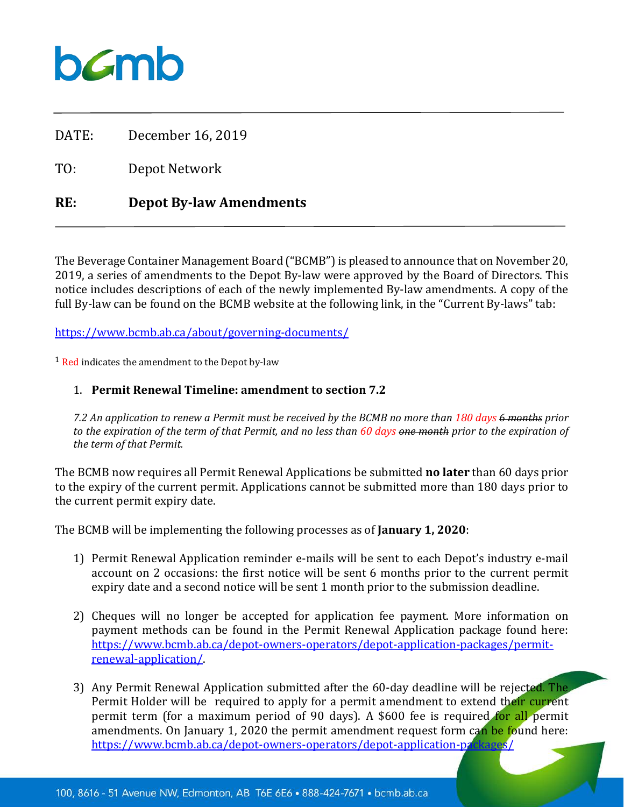# $b$ *C*mb

DATE: December 16, 2019

TO: Depot Network

# **RE: Depot By-law Amendments**

The Beverage Container Management Board ("BCMB") is pleased to announce that on November 20, 2019, a series of amendments to the Depot By-law were approved by the Board of Directors. This notice includes descriptions of each of the newly implemented By-law amendments. A copy of the full By-law can be found on the BCMB website at the following link, in the "Current By-laws" tab:

<https://www.bcmb.ab.ca/about/governing-documents/>

<sup>1</sup> Red indicates the amendment to the Depot by-law

## 1. **Permit Renewal Timeline: amendment to section 7.2**

*7.2 An application to renew a Permit must be received by the BCMB no more than 180 days 6 months prior to the expiration of the term of that Permit, and no less than 60 days one month prior to the expiration of the term of that Permit.*

The BCMB now requires all Permit Renewal Applications be submitted **no later** than 60 days prior to the expiry of the current permit. Applications cannot be submitted more than 180 days prior to the current permit expiry date.

The BCMB will be implementing the following processes as of **January 1, 2020**:

- 1) Permit Renewal Application reminder e-mails will be sent to each Depot's industry e-mail account on 2 occasions: the first notice will be sent 6 months prior to the current permit expiry date and a second notice will be sent 1 month prior to the submission deadline.
- 2) Cheques will no longer be accepted for application fee payment. More information on payment methods can be found in the Permit Renewal Application package found here: [https://www.bcmb.ab.ca/depot-owners-operators/depot-application-packages/permit](https://www.bcmb.ab.ca/depot-owners-operators/depot-application-packages/permit-renewal-application/)[renewal-application/.](https://www.bcmb.ab.ca/depot-owners-operators/depot-application-packages/permit-renewal-application/)
- 3) Any Permit Renewal Application submitted after the 60-day deadline will be rejected. The Permit Holder will be required to apply for a permit amendment to extend their current permit term (for a maximum period of 90 days). A \$600 fee is required for all permit amendments. On January 1, 2020 the permit amendment request form can be found here:<br>https://www.bcmb.ab.ca/depot-owners-operators/depot-application-prekages/ https://www.bcmb.ab.ca/depot-owners-operators/depot-application-pa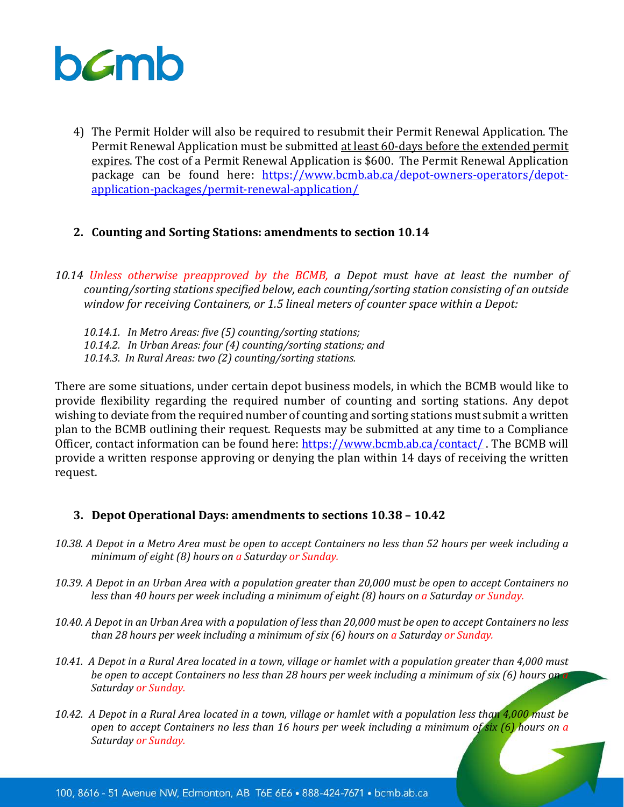

- 4) The Permit Holder will also be required to resubmit their Permit Renewal Application. The Permit Renewal Application must be submitted at least 60-days before the extended permit expires. The cost of a Permit Renewal Application is \$600. The Permit Renewal Application package can be found here: [https://www.bcmb.ab.ca/depot-owners-operators/depot](https://www.bcmb.ab.ca/depot-owners-operators/depot-application-packages/permit-renewal-application/)[application-packages/permit-renewal-application/](https://www.bcmb.ab.ca/depot-owners-operators/depot-application-packages/permit-renewal-application/)
- **2. Counting and Sorting Stations: amendments to section 10.14**
- *10.14 Unless otherwise preapproved by the BCMB, a Depot must have at least the number of counting/sorting stations specified below, each counting/sorting station consisting of an outside window for receiving Containers, or 1.5 lineal meters of counter space within a Depot:*

*10.14.1. In Metro Areas: five (5) counting/sorting stations; 10.14.2. In Urban Areas: four (4) counting/sorting stations; and 10.14.3. In Rural Areas: two (2) counting/sorting stations.*

There are some situations, under certain depot business models, in which the BCMB would like to provide flexibility regarding the required number of counting and sorting stations. Any depot wishing to deviate from the required number of counting and sorting stations must submit a written plan to the BCMB outlining their request. Requests may be submitted at any time to a Compliance Officer, contact information can be found here: <https://www.bcmb.ab.ca/contact/> . The BCMB will provide a written response approving or denying the plan within 14 days of receiving the written request.

#### **3. Depot Operational Days: amendments to sections 10.38 – 10.42**

- *10.38. A Depot in a Metro Area must be open to accept Containers no less than 52 hours per week including a minimum of eight (8) hours on a Saturday or Sunday.*
- *10.39. A Depot in an Urban Area with a population greater than 20,000 must be open to accept Containers no less than 40 hours per week including a minimum of eight (8) hours on a Saturday or Sunday.*
- *10.40. A Depot in an Urban Area with a population of less than 20,000 must be open to accept Containers no less than 28 hours per week including a minimum of six (6) hours on a Saturday or Sunday.*
- *10.41. A Depot in a Rural Area located in a town, village or hamlet with a population greater than 4,000 must be open to accept Containers no less than 28 hours per week including a minimum of six (6) hours on a Saturday or Sunday.*
- *10.42. A Depot in a Rural Area located in a town, village or hamlet with a population less than 4,000 must be open to accept Containers no less than 16 hours per week including a minimum of six (6) hours on a Saturday or Sunday.*